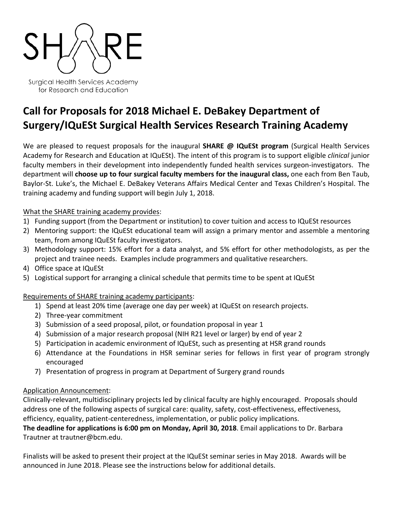

Surgical Health Services Academy for Research and Education

# **Call for Proposals for 2018 Michael E. DeBakey Department of Surgery/IQuESt Surgical Health Services Research Training Academy**

We are pleased to request proposals for the inaugural **SHARE @ IQuESt program** (Surgical Health Services Academy for Research and Education at IQuESt). The intent of this program is to support eligible *clinical* junior faculty members in their development into independently funded health services surgeon-investigators. The department will **choose up to four surgical faculty members for the inaugural class,** one each from Ben Taub, Baylor-St. Luke's, the Michael E. DeBakey Veterans Affairs Medical Center and Texas Children's Hospital. The training academy and funding support will begin July 1, 2018.

## What the SHARE training academy provides:

- 1) Funding support (from the Department or institution) to cover tuition and access to IQuESt resources
- 2) Mentoring support: the IQuESt educational team will assign a primary mentor and assemble a mentoring team, from among IQuESt faculty investigators.
- 3) Methodology support: 15% effort for a data analyst, and 5% effort for other methodologists, as per the project and trainee needs. Examples include programmers and qualitative researchers.
- 4) Office space at IQuESt
- 5) Logistical support for arranging a clinical schedule that permits time to be spent at IQuESt

## Requirements of SHARE training academy participants:

- 1) Spend at least 20% time (average one day per week) at IQuESt on research projects.
- 2) Three-year commitment
- 3) Submission of a seed proposal, pilot, or foundation proposal in year 1
- 4) Submission of a major research proposal (NIH R21 level or larger) by end of year 2
- 5) Participation in academic environment of IQuESt, such as presenting at HSR grand rounds
- 6) Attendance at the Foundations in HSR seminar series for fellows in first year of program strongly encouraged
- 7) Presentation of progress in program at Department of Surgery grand rounds

## Application Announcement:

Clinically-relevant, multidisciplinary projects led by clinical faculty are highly encouraged. Proposals should address one of the following aspects of surgical care: quality, safety, cost-effectiveness, effectiveness, efficiency, equality, patient-centeredness, implementation, or public policy implications.

**The deadline for applications is 6:00 pm on Monday, April 30, 2018**. Email applications to Dr. Barbara Trautner at trautner@bcm.edu.

Finalists will be asked to present their project at the IQuESt seminar series in May 2018. Awards will be announced in June 2018. Please see the instructions below for additional details.